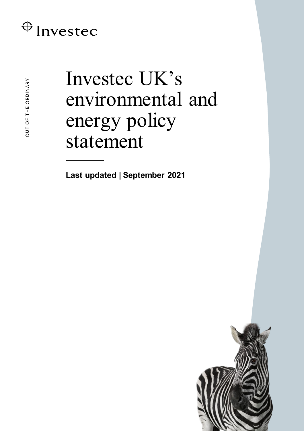## $\bigoplus$  Invested

OUT OF THE ORDINARY

# Investec UK's environmental and energy policy statement

**Last updated | September 2021**

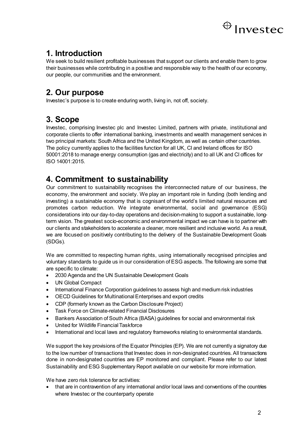

## **1. Introduction**

We seek to build resilient profitable businesses that support our clients and enable them to grow their businesses while contributing in a positive and responsible way to the health of our economy, our people, our communities and the environment.

### **2. Our purpose**

Investec's purpose is to create enduring worth, living in, not off, society.

## **3. Scope**

Investec, comprising Investec plc and Investec Limited, partners with private, institutional and corporate clients to offer international banking, investments and wealth management services in two principal markets: South Africa and the United Kingdom, as well as certain other countries. The policy currently applies to the facilities function for all UK, CI and Ireland offices for ISO 50001:2018 to manage energy consumption (gas and electricity) and to all UK and CI offices for ISO 14001:2015.

## **4. Commitment to sustainability**

Our commitment to sustainability recognises the interconnected nature of our business, the economy, the environment and society. We play an important role in funding (both lending and investing) a sustainable economy that is cognisant of the world's limited natural resources and promotes carbon reduction. We integrate environmental, social and governance (ESG) considerations into our day-to-day operations and decision-making to support a sustainable, longterm vision. The greatest socio-economic and environmental impact we can have is to partner with our clients and stakeholders to accelerate a cleaner, more resilient and inclusive world. As a result, we are focused on positively contributing to the delivery of the Sustainable Development Goals (SDGs).

We are committed to respecting human rights, using internationally recognised principles and voluntary standards to guide us in our consideration of ESG aspects. The following are some that are specific to climate:

- 2030 Agenda and the UN Sustainable Development Goals
- UN Global Compact
- International Finance Corporation guidelines to assess high and medium risk industries
- OECD Guidelines for Multinational Enterprises and export credits
- CDP (formerly known as the Carbon Disclosure Project)
- Task Force on Climate-related Financial Disclosures
- Bankers Association of South Africa (BASA) guidelines for social and environmental risk
- United for Wildlife Financial Taskforce
- International and local laws and regulatory frameworks relating to environmental standards.

We support the key provisions of the Equator Principles (EP). We are not currently a signatory due to the low number of transactions that Investec does in non-designated countries. All transactions done in non-designated countries are EP monitored and compliant. Please refer to our latest Sustainability and ESG Supplementary Report available on our website for more information.

We have zero risk tolerance for activities:

• that are in contravention of any international and/or local laws and conventions of the countries where Investec or the counterparty operate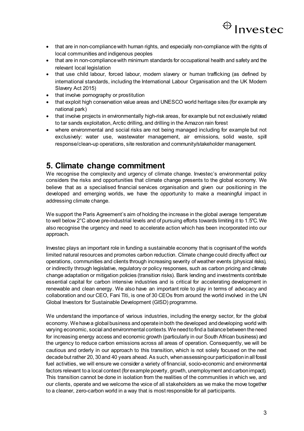

- that are in non-compliance with human rights, and especially non-compliance with the rights of local communities and indigenous peoples
- that are in non-compliance with minimum standards for occupational health and safety and the relevant local legislation
- that use child labour, forced labour, modern slavery or human trafficking (as defined by international standards, including the International Labour Organisation and the UK Modern Slavery Act 2015)
- that involve pornography or prostitution
- that exploit high conservation value areas and UNESCO world heritage sites (for example any national park)
- that involve projects in environmentally high-risk areas, for example but not exclusively related to tar sands exploitation, Arctic drilling, and drilling in the Amazon rain forest
- where environmental and social risks are not being managed including for example but not exclusively: water use, wastewater management, air emissions, solid waste, spill response/clean-up operations, site restoration and community/stakeholder management.

#### **5. Climate change commitment**

We recognise the complexity and urgency of climate change. Investec's environmental policy considers the risks and opportunities that climate change presents to the global economy. We believe that as a specialised financial services organisation and given our positioning in the developed and emerging worlds, we have the opportunity to make a meaningful impact in addressing climate change.

We support the Paris Agreement's aim of holding the increase in the global average temperature to well below 2°C above pre-industrial levels and of pursuing efforts towards limiting it to 1.5°C. We also recognise the urgency and need to accelerate action which has been incorporated into our approach.

Investec plays an important role in funding a sustainable economy that is cognisant of the world's limited natural resources and promotes carbon reduction. Climate change could directly affect our operations, communities and clients through increasing severity of weather events (physical risks), or indirectly through legislative, regulatory or policy responses, such as carbon pricing and climate change adaptation or mitigation policies (transition risks). Bank lending and investments contribute essential capital for carbon intensive industries and is critical for accelerating development in renewable and clean energy. We also have an important role to play in terms of advocacy and collaboration and our CEO, Fani Titi, is one of 30 CEOs from around the world involved in the UN Global Investors for Sustainable Development (GISD) programme.

We understand the importance of various industries, including the energy sector, for the global economy. We have a global business and operate in both the developed and developing world with varying economic, social and environmental contexts. We need to find a balance between the need for increasing energy access and economic growth (particularly in our South African business) and the urgency to reduce carbon emissions across all areas of operation. Consequently, we will be cautious and orderly in our approach to this transition, which is not solely focused on the next decade but rather 20, 30 and 40 years ahead. As such, when assessing our participation in all fossil fuel activities, we will ensure we consider a variety of financial, socio-economic and environmental factors relevant to a local context (for example poverty, growth, unemployment and carbon impact). This transition cannot be done in isolation from the realities of the communities in which we, and our clients, operate and we welcome the voice of all stakeholders as we make the move together to a cleaner, zero-carbon world in a way that is most responsible for all participants.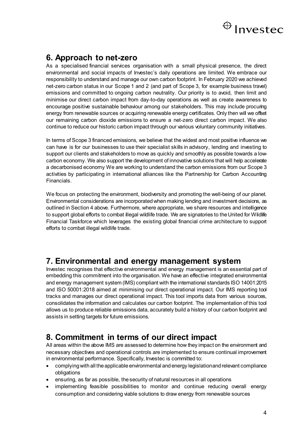

#### **6. Approach to net-zero**

As a specialised financial services organisation with a small physical presence, the direct environmental and social impacts of Investec's daily operations are limited. We embrace our responsibility to understand and manage our own carbon footprint. In February 2020 we achieved net-zero carbon status in our Scope 1 and 2 (and part of Scope 3, for example business travel) emissions and committed to ongoing carbon neutrality. Our priority is to avoid, then limit and minimise our direct carbon impact from day-to-day operations as well as create awareness to encourage positive sustainable behaviour among our stakeholders. This may include procuring energy from renewable sources or acquiring renewable energy certificates. Only then will we offset our remaining carbon dioxide emissions to ensure a net-zero direct carbon impact. We also continue to reduce our historic carbon impact through our various voluntary community initiatives.

In terms of Scope 3 financed emissions, we believe that the widest and most positive influence we can have is for our businesses to use their specialist skills in advisory, lending and investing to support our clients and stakeholders to move as quickly and smoothly as possible towards a lowcarbon economy. We also support the development of innovative solutions that will help accelerate a decarbonised economy We are working to understand the carbon emissions from our Scope 3 activities by participating in international alliances like the Partnership for Carbon Accounting Financials.

We focus on protecting the environment, biodiversity and promoting the well-being of our planet. Environmental considerations are incorporated when making lending and investment decisions, as outlined in Section 4 above. Furthermore, where appropriate, we share resources and intelligence to support global efforts to combat illegal wildlife trade. We are signatories to the United for Wildlife Financial Taskforce which leverages the existing global financial crime architecture to support efforts to combat illegal wildlife trade.

#### **7. Environmental and energy management system**

Investec recognises that effective environmental and energy management is an essential part of embedding this commitment into the organisation. We have an effective integrated environmental and energy management system (IMS) compliant with the international standards ISO 14001:2015 and ISO 50001:2018 aimed at minimising our direct operational impact. Our IMS reporting tool tracks and manages our direct operational impact. This tool imports data from various sources, consolidates the information and calculates our carbon footprint. The implementation of this tool allows us to produce reliable emissions data, accurately build a history of our carbon footprint and assists in setting targets for future emissions.

#### **8. Commitment in terms of our direct impact**

All areas within the above IMS are assessed to determine how they impact on the environment and necessary objectives and operational controls are implemented to ensure continual improvement in environmental performance. Specifically, Investec is committed to:

- complying with all the applicable environmental and energy legislation and relevant compliance obligations
- ensuring, as far as possible, the security of natural resources in all operations
- implementing feasible possibilities to monitor and continue reducing overall energy consumption and considering viable solutions to draw energy from renewable sources